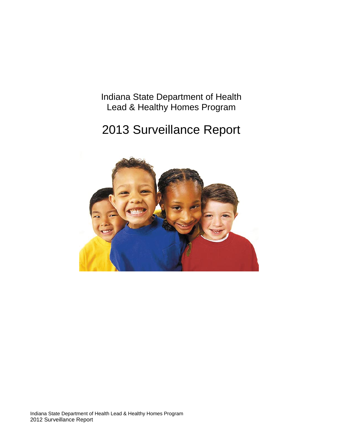Indiana State Department of Health Lead & Healthy Homes Program

# 2013 Surveillance Report

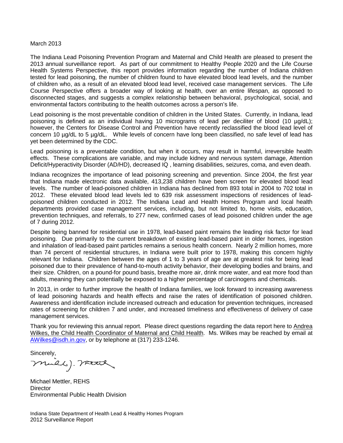#### March 2013

The Indiana Lead Poisoning Prevention Program and Maternal and Child Health are pleased to present the 2013 annual surveillance report. As part of our commitment to Healthy People 2020 and the Life Course Health Systems Perspective, this report provides information regarding the number of Indiana children tested for lead poisoning, the number of children found to have elevated blood lead levels, and the number of children who, as a result of an elevated blood lead level, received case management services. The Life Course Perspective offers a broader way of looking at health, over an entire lifespan, as opposed to disconnected stages, and suggests a complex relationship between behavioral, psychological, social, and environmental factors contributing to the health outcomes across a person's life.

Lead poisoning is the most preventable condition of children in the United States. Currently, in Indiana, lead poisoning is defined as an individual having 10 micrograms of lead per deciliter of blood (10 µg/dL); however, the Centers for Disease Control and Prevention have recently reclassified the blood lead level of concern 10 µg/dL to 5 µg/dL. While levels of concern have long been classified, no safe level of lead has yet been determined by the CDC.

Lead poisoning is a preventable condition, but when it occurs, may result in harmful, irreversible health effects. These complications are variable, and may include kidney and nervous system damage, Attention Deficit/Hyperactivity Disorder (AD/HD), decreased IQ , learning disabilities, seizures, coma, and even death.

Indiana recognizes the importance of lead poisoning screening and prevention. Since 2004, the first year that Indiana made electronic data available, 413,238 children have been screen for elevated blood lead levels. The number of lead-poisoned children in Indiana has declined from 893 total in 2004 to 702 total in 2012. These elevated blood lead levels led to 639 risk assessment inspections of residences of leadpoisoned children conducted in 2012. The Indiana Lead and Health Homes Program and local health departments provided case management services, including, but not limited to, home visits, education, prevention techniques, and referrals, to 277 new, confirmed cases of lead poisoned children under the age of 7 during 2012.

Despite being banned for residential use in 1978, lead-based paint remains the leading risk factor for lead poisoning. Due primarily to the current breakdown of existing lead-based paint in older homes, ingestion and inhalation of lead-based paint particles remains a serious health concern. Nearly 2 million homes, more than 74 percent of residential structures, in Indiana were built prior to 1978, making this concern highly relevant for Indiana. Children between the ages of 1 to 3 years of age are at greatest risk for being lead poisoned due to their prevalence of hand-to-mouth activity behavior, their developing bodies and brains, and their size. Children, on a pound-for pound basis, breathe more air, drink more water, and eat more food than adults, meaning they can potentially be exposed to a higher percentage of carcinogens and chemicals.

In 2013, in order to further improve the health of Indiana families, we look forward to increasing awareness of lead poisoning hazards and health effects and raise the rates of identification of poisoned children. Awareness and identification include increased outreach and education for prevention techniques, increased rates of screening for children 7 and under, and increased timeliness and effectiveness of delivery of case management services.

Thank you for reviewing this annual report. Please direct questions regarding the data report here to Andrea Wilkes, the Child Health Coordinator of Maternal and Child Health. Ms. Wilkes may be reached by email at [AWilkes@isdh.in.gov,](mailto:AWilkes@isdh.in.gov) or by telephone at (317) 233-1246.

Sincerely,

miers). mad

Michael Mettler, REHS **Director** Environmental Public Health Division

Indiana State Department of Health Lead & Healthy Homes Program 2012 Surveillance Report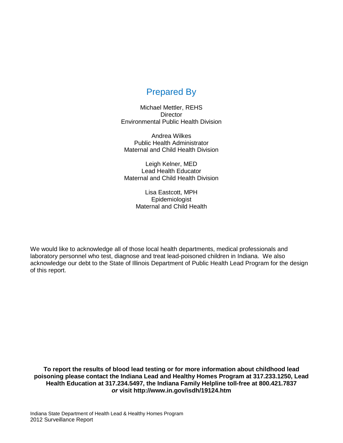## Prepared By

Michael Mettler, REHS **Director** Environmental Public Health Division

Andrea Wilkes Public Health Administrator Maternal and Child Health Division

Leigh Kelner, MED Lead Health Educator Maternal and Child Health Division

> Lisa Eastcott, MPH Epidemiologist Maternal and Child Health

We would like to acknowledge all of those local health departments, medical professionals and laboratory personnel who test, diagnose and treat lead-poisoned children in Indiana. We also acknowledge our debt to the State of Illinois Department of Public Health Lead Program for the design of this report.

**To report the results of blood lead testing or for more information about childhood lead poisoning please contact the Indiana Lead and Healthy Homes Program at 317.233.1250, Lead Health Education at 317.234.5497, the Indiana Family Helpline toll-free at 800.421.7837** *or* **visit<http://www.in.gov/isdh/19124.htm>**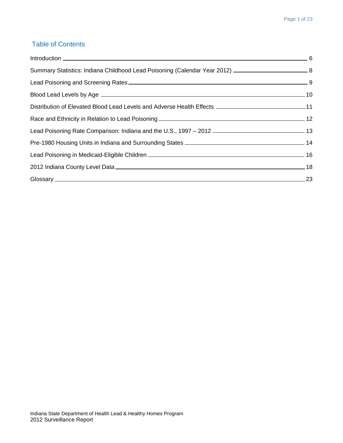## Table of Contents

| Summary Statistics: Indiana Childhood Lead Poisoning (Calendar Year 2012) ________________________________8 |           |
|-------------------------------------------------------------------------------------------------------------|-----------|
|                                                                                                             |           |
|                                                                                                             |           |
| Distribution of Elevated Blood Lead Levels and Adverse Health Effects __________________________________11  |           |
|                                                                                                             |           |
|                                                                                                             |           |
|                                                                                                             |           |
| Lead Poisoning in Medicaid-Eligible Children <b>___________________________________</b> 16                  |           |
|                                                                                                             |           |
|                                                                                                             | $\sim$ 23 |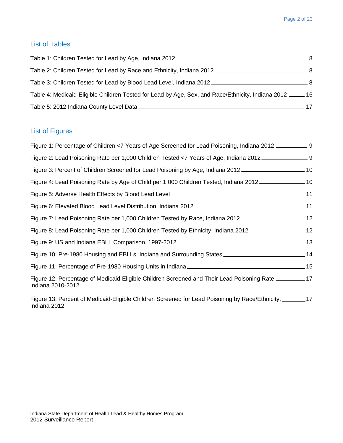#### List of Tables

| Table 2: Children Tested for Lead by Race and Ethnicity, Indiana 2012 <b>Calcular 2012</b> 8         |  |
|------------------------------------------------------------------------------------------------------|--|
|                                                                                                      |  |
| 16 Table 4: Medicaid-Eligible Children Tested for Lead by Age, Sex, and Race/Ethnicity, Indiana 2012 |  |
|                                                                                                      |  |

## List of Figures

| Figure 1: Percentage of Children <7 Years of Age Screened for Lead Poisoning, Indiana 2012 _____________ 9                |  |
|---------------------------------------------------------------------------------------------------------------------------|--|
| Figure 2: Lead Poisoning Rate per 1,000 Children Tested <7 Years of Age, Indiana 2012 ____________________9               |  |
| Tigure 3: Percent of Children Screened for Lead Poisoning by Age, Indiana 2012                                            |  |
| 10 - Figure 4: Lead Poisoning Rate by Age of Child per 1,000 Children Tested, Indiana 2012                                |  |
|                                                                                                                           |  |
|                                                                                                                           |  |
| 12 - Figure 7: Lead Poisoning Rate per 1,000 Children Tested by Race, Indiana 2012                                        |  |
| 12 - Figure 8: Lead Poisoning Rate per 1,000 Children Tested by Ethnicity, Indiana 2012                                   |  |
|                                                                                                                           |  |
| Figure 10: Pre-1980 Housing and EBLLs, Indiana and Surrounding States _________________________________14                 |  |
|                                                                                                                           |  |
| Figure 12: Percentage of Medicaid-Eligible Children Screened and Their Lead Poisoning Rate, 2001-17<br>Indiana 2010-2012  |  |
| Figure 13: Percent of Medicaid-Eligible Children Screened for Lead Poisoning by Race/Ethnicity, _______17<br>Indiana 2012 |  |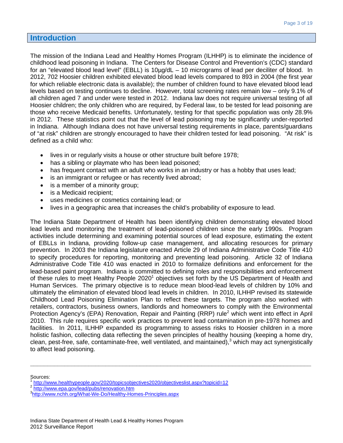## **Introduction**

The mission of the Indiana Lead and Healthy Homes Program (ILHHP) is to eliminate the incidence of childhood lead poisoning in Indiana. The Centers for Disease Control and Prevention's (CDC) standard for an "elevated blood lead level" (EBLL) is 10µg/dL – 10 micrograms of lead per deciliter of blood. In 2012, 702 Hoosier children exhibited elevated blood lead levels compared to 893 in 2004 (the first year for which reliable electronic data is available); the number of children found to have elevated blood lead levels based on testing continues to decline. However, total screening rates remain low – only 9.1% of all children aged 7 and under were tested in 2012. Indiana law does not require universal testing of all Hoosier children; the only children who are required, by Federal law, to be tested for lead poisoning are those who receive Medicaid benefits. Unfortunately, testing for that specific population was only 28.9% in 2012. These statistics point out that the level of lead poisoning may be significantly under-reported in Indiana. Although Indiana does not have universal testing requirements in place, parents/guardians of "at risk" children are strongly encouraged to have their children tested for lead poisoning. "At risk" is defined as a child who:

- lives in or regularly visits a house or other structure built before 1978;
- has a sibling or playmate who has been lead poisoned;
- has frequent contact with an adult who works in an industry or has a hobby that uses lead;
- is an immigrant or refugee or has recently lived abroad;
- is a member of a minority group;
- is a Medicaid recipient;
- uses medicines or cosmetics containing lead; or
- lives in a geographic area that increases the child's probability of exposure to lead.

The Indiana State Department of Health has been identifying children demonstrating elevated blood lead levels and monitoring the treatment of lead-poisoned children since the early 1990s. Program activities include determining and examining potential sources of lead exposure, estimating the extent of EBLLs in Indiana, providing follow-up case management, and allocating resources for primary prevention. In 2003 the Indiana legislature enacted Article 29 of Indiana Administrative Code Title 410 to specify procedures for reporting, monitoring and preventing lead poisoning. Article 32 of Indiana Administrative Code Title 410 was enacted in 2010 to formalize definitions and enforcement for the lead-based paint program. Indiana is committed to defining roles and responsibilities and enforcement of these rules to meet Healthy People 2020<sup>1</sup> objectives set forth by the US Department of Health and Human Services. The primary objective is to reduce mean blood-lead levels of children by 10% and ultimately the elimination of elevated blood lead levels in children. In 2010, ILHHP revised its statewide Childhood Lead Poisoning Elimination Plan to reflect these targets. The program also worked with retailers, contractors, business owners, landlords and homeowners to comply with the Environmental Protection Agency's (EPA) Renovation, Repair and Painting (RRP) rule<sup>2</sup> which went into effect in April 2010. This rule requires specific work practices to prevent lead contamination in pre-1978 homes and facilities. In 2011, ILHHP expanded its programming to assess risks to Hoosier children in a more holistic fashion, collecting data reflecting the seven principles of healthy housing (keeping a home dry, clean, pest-free, safe, contaminate-free, well ventilated, and maintained), <sup>3</sup> which may act synergistically to affect lead poisoning.

**\_\_\_\_\_\_\_\_\_\_\_\_\_\_\_\_\_\_\_\_\_\_\_\_\_\_\_\_\_\_\_\_\_\_\_\_\_\_\_\_\_\_\_\_\_\_\_\_\_\_\_\_\_\_\_\_\_\_\_\_\_\_\_\_\_\_\_\_\_\_\_\_\_\_\_\_\_\_\_\_\_\_**

- Sources:<br><sup>1</sup> <http://www.healthypeople.gov/2020/topicsobjectives2020/objectiveslist.aspx?topicid=12><br><sup>2</sup> <http://www.epa.gov/lead/pubs/renovation.htm>
- 

<sup>&</sup>lt;sup>3</sup><http://www.nchh.org/What-We-Do/Healthy-Homes-Principles.aspx>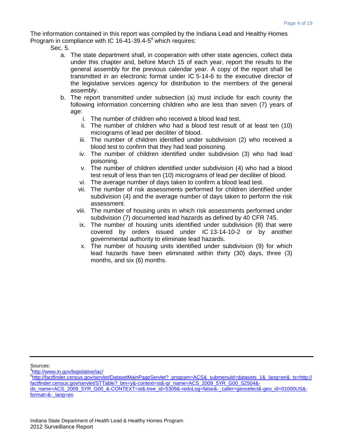The information contained in this report was compiled by the Indiana Lead and Healthy Homes Program in compliance with IC 16-41-39.4- $5<sup>4</sup>$  which requires:

Sec. 5.

- a. The state department shall, in cooperation with other state agencies, collect data under this chapter and, before March 15 of each year, report the results to the general assembly for the previous calendar year. A copy of the report shall be transmitted in an electronic format under IC 5-14-6 to the executive director of the legislative services agency for distribution to the members of the general assembly.
- b. The report transmitted under subsection (a) must include for each county the following information concerning children who are less than seven (7) years of age:
	- i. The number of children who received a blood lead test.
	- ii. The number of children who had a blood test result of at least ten (10) micrograms of lead per deciliter of blood.
	- iii. The number of children identified under subdivision (2) who received a blood test to confirm that they had lead poisoning.
	- iv. The number of children identified under subdivision (3) who had lead poisoning.
	- v. The number of children identified under subdivision (4) who had a blood test result of less than ten (10) micrograms of lead per deciliter of blood.
	- vi. The average number of days taken to confirm a blood lead test.
	- vii. The number of risk assessments performed for children identified under subdivision (4) and the average number of days taken to perform the risk assessment.
	- viii. The number of housing units in which risk assessments performed under subdivision (7) documented lead hazards as defined by 40 CFR 745.
	- ix. The number of housing units identified under subdivision (8) that were covered by orders issued under IC 13-14-10-2 or by another governmental authority to eliminate lead hazards.
	- x. The number of housing units identified under subdivision (9) for which lead hazards have been eliminated within thirty (30) days, three (3) months, and six (6) months.

Sources:

<sup>4</sup><http://www.in.gov/legislative/iac/>

<sup>5</sup> [http://factfinder.census.gov/servlet/DatasetMainPageServlet?\\_program=ACS&\\_submenuId=datasets\\_1&\\_lang=en&\\_ts=](http://factfinder.census.gov/servlet/DatasetMainPageServlet?_program=ACS&_submenuId=datasets_1&_lang=en&_ts)http:// factfinder.census.gov/servlet/STTable?\_bm=y&-context=st&-qr\_name=ACS\_2009\_5YR\_G00\_S2504& ds\_name=ACS\_2009\_5YR\_G00\_&-CONTEXT=st&-tree\_id=5309&-redoLog=false&-\_caller=geoselect&-geo\_id=01000US&format=&-\_lang=en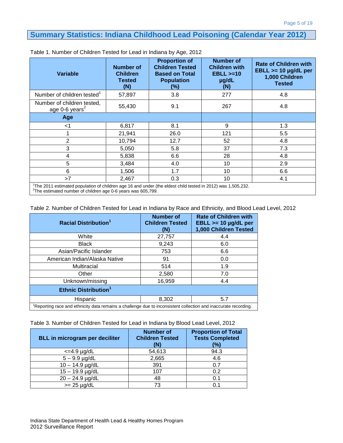## **Summary Statistics: Indiana Childhood Lead Poisoning (Calendar Year 2012)**

| <b>Variable</b>                                                                                                                                                                         | <b>Number of</b><br><b>Children</b><br><b>Tested</b><br>(N) | <b>Proportion of</b><br><b>Children Tested</b><br><b>Based on Total</b><br><b>Population</b><br>(%) | <b>Number of</b><br><b>Children with</b><br>$EBLL > = 10$<br>µg/dL<br>(N) | <b>Rate of Children with</b><br>$EBLL \ge 10$ µg/dL per<br>1,000 Children<br><b>Tested</b> |
|-----------------------------------------------------------------------------------------------------------------------------------------------------------------------------------------|-------------------------------------------------------------|-----------------------------------------------------------------------------------------------------|---------------------------------------------------------------------------|--------------------------------------------------------------------------------------------|
| Number of children tested                                                                                                                                                               | 57,897                                                      | 3.8                                                                                                 | 277                                                                       | 4.8                                                                                        |
| Number of children tested,<br>age 0-6 years <sup>2</sup>                                                                                                                                | 55,430                                                      | 9.1                                                                                                 | 267                                                                       | 4.8                                                                                        |
| Age                                                                                                                                                                                     |                                                             |                                                                                                     |                                                                           |                                                                                            |
| $<$ 1                                                                                                                                                                                   | 6,817                                                       | 8.1                                                                                                 | 9                                                                         | 1.3                                                                                        |
|                                                                                                                                                                                         | 21,941                                                      | 26.0                                                                                                | 121                                                                       | 5.5                                                                                        |
| $\overline{2}$                                                                                                                                                                          | 10,794                                                      | 12.7                                                                                                | 52                                                                        | 4.8                                                                                        |
| 3                                                                                                                                                                                       | 5,050                                                       | 5.8                                                                                                 | 37                                                                        | 7.3                                                                                        |
| 4                                                                                                                                                                                       | 5,838                                                       | 6.6                                                                                                 | 28                                                                        | 4.8                                                                                        |
| 5                                                                                                                                                                                       | 3,484                                                       | 4.0                                                                                                 | 10                                                                        | 2.9                                                                                        |
| 6                                                                                                                                                                                       | 1,506                                                       | 1.7                                                                                                 | 10                                                                        | 6.6                                                                                        |
| >7                                                                                                                                                                                      | 2.467                                                       | 0.3                                                                                                 | 10                                                                        | 4.1                                                                                        |
| The 2011 estimated population of children age 16 and under (the eldest child tested in 2012) was 1,505,232.<br><sup>2</sup> The estimated number of children age 0-6 years was 605,799. |                                                             |                                                                                                     |                                                                           |                                                                                            |

Table 1. Number of Children Tested for Lead in Indiana by Age, 2012

Table 2. Number of Children Tested for Lead in Indiana by Race and Ethnicity, and Blood Lead Level, 2012

| <b>Racial Distribution<sup>1</sup></b>                                                                         | <b>Number of</b><br><b>Children Tested</b><br>(N) | <b>Rate of Children with</b><br>$EBLL \ge 10$ µg/dL per<br>1,000 Children Tested |  |  |  |  |  |
|----------------------------------------------------------------------------------------------------------------|---------------------------------------------------|----------------------------------------------------------------------------------|--|--|--|--|--|
| White                                                                                                          | 27,757                                            | 4.4                                                                              |  |  |  |  |  |
| <b>Black</b>                                                                                                   | 9,243                                             | 6.0                                                                              |  |  |  |  |  |
| Asian/Pacific Islander                                                                                         | 753                                               | 6.6                                                                              |  |  |  |  |  |
| American Indian/Alaska Native                                                                                  | 91                                                | 0.0                                                                              |  |  |  |  |  |
| Multiracial                                                                                                    | 514                                               | 1.9                                                                              |  |  |  |  |  |
| Other                                                                                                          | 2,580                                             | 7.0                                                                              |  |  |  |  |  |
| Unknown/missing                                                                                                | 16,959                                            | 4.4                                                                              |  |  |  |  |  |
| Ethnic Distribution <sup>1</sup>                                                                               |                                                   |                                                                                  |  |  |  |  |  |
| Hispanic                                                                                                       | 8,302                                             | 5.7                                                                              |  |  |  |  |  |
| Reporting race and ethnicity data remains a challenge due to inconsistent collection and inaccurate recording. |                                                   |                                                                                  |  |  |  |  |  |

| Table 3. Number of Children Tested for Lead in Indiana by Blood Lead Level, 2012 |  |  |  |
|----------------------------------------------------------------------------------|--|--|--|
|----------------------------------------------------------------------------------|--|--|--|

| <b>BLL in microgram per deciliter</b> | <b>Number of</b><br><b>Children Tested</b><br>(N) | <b>Proportion of Total</b><br><b>Tests Completed</b><br>(%) |
|---------------------------------------|---------------------------------------------------|-------------------------------------------------------------|
| $\epsilon$ =4.9 µg/dL                 | 54,613                                            | 94.3                                                        |
| $5 - 9.9$ µg/dL                       | 2,665                                             | 4.6                                                         |
| $10 - 14.9$ µg/dL                     | 391                                               | 0.7                                                         |
| $15 - 19.9$ µg/dL                     | 107                                               | 0.2                                                         |
| $20 - 24.9$ µg/dL                     | 48                                                | 0.1                                                         |
| $>= 25 \mu g/dL$                      | 73                                                | 0.1                                                         |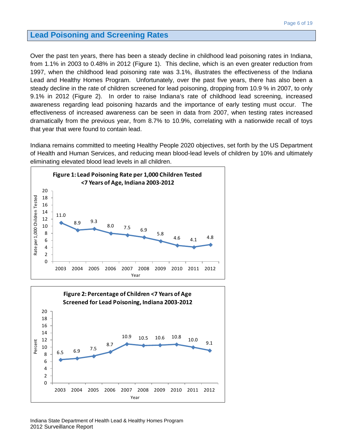#### **Lead Poisoning and Screening Rates**

Over the past ten years, there has been a steady decline in childhood lead poisoning rates in Indiana, from 1.1% in 2003 to 0.48% in 2012 (Figure 1). This decline, which is an even greater reduction from 1997, when the childhood lead poisoning rate was 3.1%, illustrates the effectiveness of the Indiana Lead and Healthy Homes Program. Unfortunately, over the past five years, there has also been a steady decline in the rate of children screened for lead poisoning, dropping from 10.9 % in 2007, to only 9.1% in 2012 (Figure 2). In order to raise Indiana's rate of childhood lead screening, increased awareness regarding lead poisoning hazards and the importance of early testing must occur. The effectiveness of increased awareness can be seen in data from 2007, when testing rates increased dramatically from the previous year, from 8.7% to 10.9%, correlating with a nationwide recall of toys that year that were found to contain lead.

Indiana remains committed to meeting Healthy People 2020 objectives, set forth by the US Department of Health and Human Services, and reducing mean blood-lead levels of children by 10% and ultimately eliminating elevated blood lead levels in all children.



6.5 6.9 7.5

6 8 10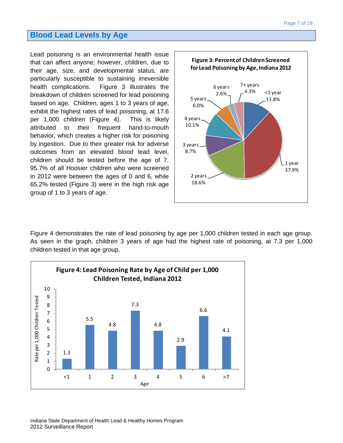#### **Blood Lead Levels by Age**

Lead poisoning is an environmental health issue that can affect anyone; however, children, due to their age, size, and developmental status, are particularly susceptible to sustaining irreversible health complications. Figure 3 illustrates the breakdown of children screened for lead poisoning based on age. Children, ages 1 to 3 years of age, exhibit the highest rates of lead poisoning, at 17.6 per 1,000 children (Figure 4). This is likely attributed to their frequent hand-to-mouth behavior, which creates a higher risk for poisoning by ingestion. Due to their greater risk for adverse outcomes from an elevated blood lead level, children should be tested before the age of 7. 95.7% of all Hoosier children who were screened in 2012 were between the ages of 0 and 6, while 65.2% tested (Figure 3) were in the high risk age group of 1 to 3 years of age.



Figure 4 demonstrates the rate of lead poisoning by age per 1,000 children tested in each age group. As seen in the graph, children 3 years of age had the highest rate of poisoning, at 7.3 per 1,000 children tested in that age group.

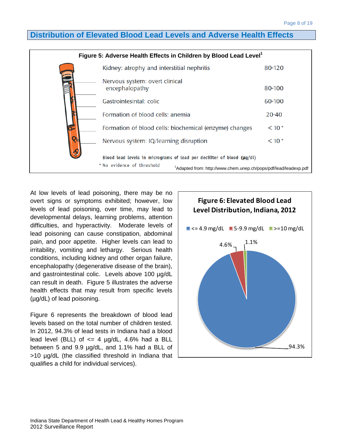## **Distribution of Elevated Blood Lead Levels and Adverse Health Effects**



At low levels of lead poisoning, there may be no overt signs or symptoms exhibited; however, low levels of lead poisoning, over time, may lead to developmental delays, learning problems, attention difficulties, and hyperactivity. Moderate levels of lead poisoning can cause constipation, abdominal pain, and poor appetite. Higher levels can lead to irritability, vomiting and lethargy. Serious health conditions, including kidney and other organ failure, encephalopathy (degenerative disease of the brain), and gastrointestinal colic. Levels above 100 µg/dL can result in death. Figure 5 illustrates the adverse health effects that may result from specific levels (µg/dL) of lead poisoning.

Figure 6 represents the breakdown of blood lead levels based on the total number of children tested. In 2012, 94.3% of lead tests in Indiana had a blood lead level (BLL) of  $\leq$  4  $\mu$ g/dL, 4.6% had a BLL between 5 and 9.9 µg/dL, and 1.1% had a BLL of >10 µg/dL (the classified threshold in Indiana that qualifies a child for individual services).

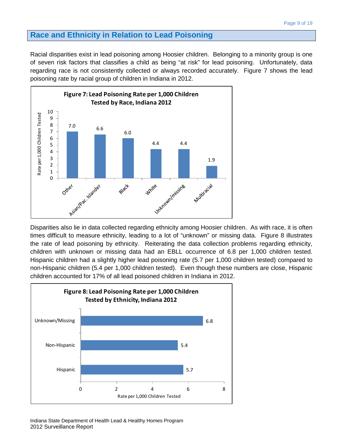#### **Race and Ethnicity in Relation to Lead Poisoning**

Racial disparities exist in lead poisoning among Hoosier children. Belonging to a minority group is one of seven risk factors that classifies a child as being "at risk" for lead poisoning. Unfortunately, data regarding race is not consistently collected or always recorded accurately. Figure 7 shows the lead poisoning rate by racial group of children in Indiana in 2012.



Disparities also lie in data collected regarding ethnicity among Hoosier children. As with race, it is often times difficult to measure ethnicity, leading to a lot of "unknown" or missing data. Figure 8 illustrates the rate of lead poisoning by ethnicity. Reiterating the data collection problems regarding ethnicity, children with unknown or missing data had an EBLL occurrence of 6.8 per 1,000 children tested. Hispanic children had a slightly higher lead poisoning rate (5.7 per 1,000 children tested) compared to non-Hispanic children (5.4 per 1,000 children tested). Even though these numbers are close, Hispanic children accounted for 17% of all lead poisoned children in Indiana in 2012.

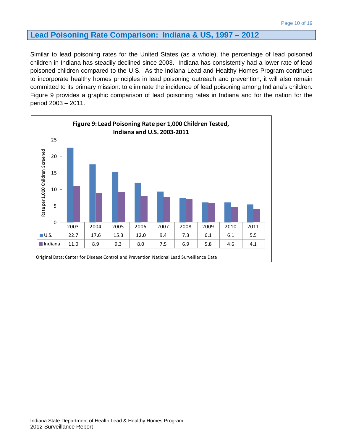#### **Lead Poisoning Rate Comparison: Indiana & US, 1997 – 2012**

Similar to lead poisoning rates for the United States (as a whole), the percentage of lead poisoned children in Indiana has steadily declined since 2003. Indiana has consistently had a lower rate of lead poisoned children compared to the U.S. As the Indiana Lead and Healthy Homes Program continues to incorporate healthy homes principles in lead poisoning outreach and prevention, it will also remain committed to its primary mission: to eliminate the incidence of lead poisoning among Indiana's children. Figure 9 provides a graphic comparison of lead poisoning rates in Indiana and for the nation for the period 2003 – 2011.

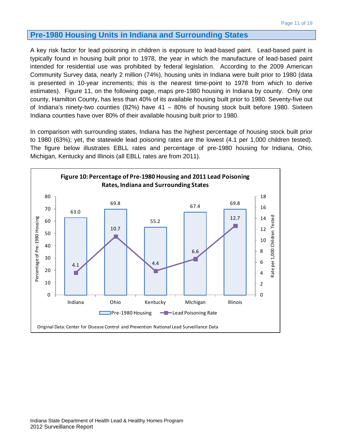#### **Pre-1980 Housing Units in Indiana and Surrounding States**

A key risk factor for lead poisoning in children is exposure to lead-based paint. Lead-based paint is typically found in housing built prior to 1978, the year in which the manufacture of lead-based paint intended for residential use was prohibited by federal legislation. According to the 2009 American Community Survey data, nearly 2 million (74%), housing units in Indiana were built prior to 1980 (data is presented in 10-year increments; this is the nearest time-point to 1978 from which to derive estimates). Figure 11, on the following page, maps pre-1980 housing in Indiana by county. Only one county, Hamilton County, has less than 40% of its available housing built prior to 1980. Seventy-five out of Indiana's ninety-two counties (82%) have 41 – 80% of housing stock built before 1980. Sixteen Indiana counties have over 80% of their available housing built prior to 1980.

In comparison with surrounding states, Indiana has the highest percentage of housing stock built prior to 1980 (63%); yet, the statewide lead poisoning rates are the lowest (4.1 per 1,000 children tested). The figure below illustrates EBLL rates and percentage of pre-1980 housing for Indiana, Ohio, Michigan, Kentucky and Illinois (all EBLL rates are from 2011).

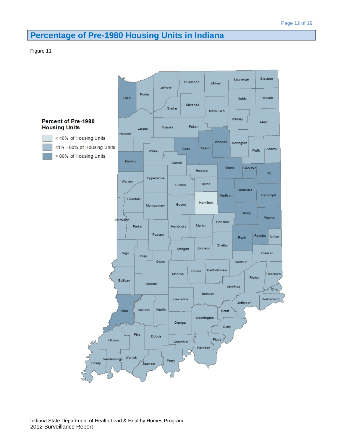## **Percentage of Pre-1980 Housing Units in Indiana**

#### Figure 11

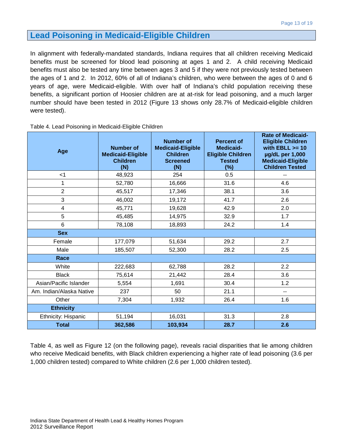#### **Lead Poisoning in Medicaid-Eligible Children**

In alignment with federally-mandated standards, Indiana requires that all children receiving Medicaid benefits must be screened for blood lead poisoning at ages 1 and 2. A child receiving Medicaid benefits must also be tested any time between ages 3 and 5 if they were not previously tested between the ages of 1 and 2. In 2012, 60% of all of Indiana's children, who were between the ages of 0 and 6 years of age, were Medicaid-eligible. With over half of Indiana's child population receiving these benefits, a significant portion of Hoosier children are at at-risk for lead poisoning, and a much larger number should have been tested in 2012 (Figure 13 shows only 28.7% of Medicaid-eligible children were tested).

| Age                      | <b>Number of</b><br><b>Medicaid-Eligible</b><br><b>Children</b><br>(N) | <b>Number of</b><br><b>Medicaid-Eligible</b><br><b>Children</b><br><b>Screened</b><br>(N) | <b>Percent of</b><br><b>Medicaid-</b><br><b>Eligible Children</b><br><b>Tested</b><br>$(\%)$ | <b>Rate of Medicaid-</b><br><b>Eligible Children</b><br>with $EBLL \ge 10$<br>µg/dL per 1,000<br><b>Medicaid-Eligible</b><br><b>Children Tested</b> |
|--------------------------|------------------------------------------------------------------------|-------------------------------------------------------------------------------------------|----------------------------------------------------------------------------------------------|-----------------------------------------------------------------------------------------------------------------------------------------------------|
| $<$ 1                    | 48,923                                                                 | 254                                                                                       | 0.5                                                                                          | --                                                                                                                                                  |
| 1                        | 52,780                                                                 | 16,666                                                                                    | 31.6                                                                                         | 4.6                                                                                                                                                 |
| $\overline{2}$           | 45,517                                                                 | 17,346                                                                                    | 38.1                                                                                         | 3.6                                                                                                                                                 |
| 3                        | 46,002                                                                 | 19,172                                                                                    | 41.7                                                                                         | 2.6                                                                                                                                                 |
| $\overline{\mathbf{4}}$  | 45,771                                                                 | 19,628                                                                                    | 42.9                                                                                         | 2.0                                                                                                                                                 |
| 5                        | 45,485                                                                 | 14,975                                                                                    | 32.9                                                                                         | 1.7                                                                                                                                                 |
| 6                        | 78,108                                                                 | 18,893                                                                                    | 24.2                                                                                         | 1.4                                                                                                                                                 |
| <b>Sex</b>               |                                                                        |                                                                                           |                                                                                              |                                                                                                                                                     |
| Female                   | 177,079                                                                | 51,634                                                                                    | 29.2                                                                                         | 2.7                                                                                                                                                 |
| Male                     | 185,507                                                                | 52,300                                                                                    | 28.2                                                                                         | 2.5                                                                                                                                                 |
| Race                     |                                                                        |                                                                                           |                                                                                              |                                                                                                                                                     |
| White                    | 222,683                                                                | 62,788                                                                                    | 28.2                                                                                         | 2.2                                                                                                                                                 |
| <b>Black</b>             | 75,614                                                                 | 21,442                                                                                    | 28.4                                                                                         | 3.6                                                                                                                                                 |
| Asian/Pacific Islander   | 5,554                                                                  | 1,691                                                                                     | 30.4                                                                                         | 1.2                                                                                                                                                 |
| Am. Indian/Alaska Native | 237                                                                    | 50                                                                                        | 21.1                                                                                         | --                                                                                                                                                  |
| Other                    | 7,304                                                                  | 1,932                                                                                     | 26.4                                                                                         | 1.6                                                                                                                                                 |
| <b>Ethnicity</b>         |                                                                        |                                                                                           |                                                                                              |                                                                                                                                                     |
| Ethnicity: Hispanic      | 51,194                                                                 | 16,031                                                                                    | 31.3                                                                                         | 2.8                                                                                                                                                 |
| <b>Total</b>             | 362,586                                                                | 103,934                                                                                   | 28.7                                                                                         | 2.6                                                                                                                                                 |

Table 4. Lead Poisoning in Medicaid-Eligible Children

Table 4, as well as Figure 12 (on the following page), reveals racial disparities that lie among children who receive Medicaid benefits, with Black children experiencing a higher rate of lead poisoning (3.6 per 1,000 children tested) compared to White children (2.6 per 1,000 children tested).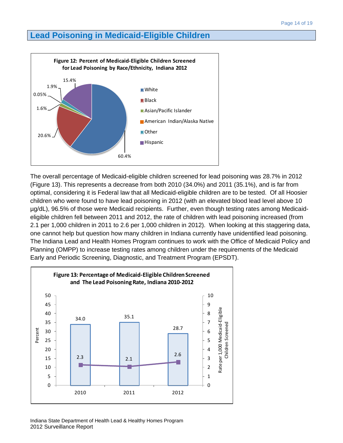#### **Lead Poisoning in Medicaid-Eligible Children**



The overall percentage of Medicaid-eligible children screened for lead poisoning was 28.7% in 2012 (Figure 13). This represents a decrease from both 2010 (34.0%) and 2011 (35.1%), and is far from optimal, considering it is Federal law that all Medicaid-eligible children are to be tested. Of all Hoosier children who were found to have lead poisoning in 2012 (with an elevated blood lead level above 10 µg/dL), 96.5% of those were Medicaid recipients. Further, even though testing rates among Medicaideligible children fell between 2011 and 2012, the rate of children with lead poisoning increased (from 2.1 per 1,000 children in 2011 to 2.6 per 1,000 children in 2012). When looking at this staggering data, one cannot help but question how many children in Indiana currently have unidentified lead poisoning. The Indiana Lead and Health Homes Program continues to work with the Office of Medicaid Policy and Planning (OMPP) to increase testing rates among children under the requirements of the Medicaid Early and Periodic Screening, Diagnostic, and Treatment Program (EPSDT).

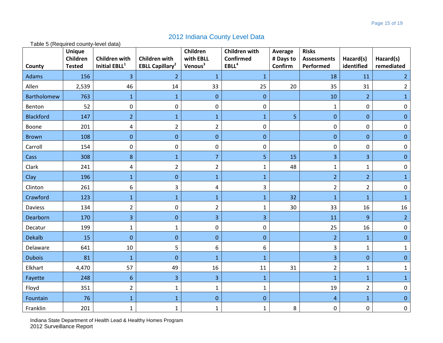#### 2012 Indiana County Level Data

Table 5 (Required county-level data)

| County             | <b>Unique</b><br>Children<br><b>Tested</b> | <b>Children with</b><br>Initial EBLL <sup>1</sup> | <b>Children with</b><br><b>EBLL Capillary<sup>2</sup></b> | Children<br>with EBLL<br>Venous <sup>3</sup> | <b>Children with</b><br>Confirmed<br>EBLL <sup>4</sup> | Average<br># Days to<br>Confirm | <b>Risks</b><br><b>Assessments</b><br>Performed | Hazard(s)<br>identified | Hazard(s)<br>remediated |
|--------------------|--------------------------------------------|---------------------------------------------------|-----------------------------------------------------------|----------------------------------------------|--------------------------------------------------------|---------------------------------|-------------------------------------------------|-------------------------|-------------------------|
| Adams              | 156                                        | 3                                                 | $\overline{2}$                                            | $\mathbf{1}$                                 | $\mathbf{1}$                                           |                                 | 18                                              | 11                      | $\overline{2}$          |
| Allen              | 2,539                                      | 46                                                | 14                                                        | 33                                           | 25                                                     | 20                              | 35                                              | 31                      | $\overline{2}$          |
| <b>Bartholomew</b> | 763                                        | $\mathbf{1}$                                      | $\mathbf{1}$                                              | $\mathbf{0}$                                 | $\mathbf{0}$                                           |                                 | 10                                              | $\overline{2}$          | $\mathbf 1$             |
| Benton             | 52                                         | 0                                                 | $\mathbf 0$                                               | $\mathbf 0$                                  | 0                                                      |                                 | $\mathbf{1}$                                    | $\pmb{0}$               | 0                       |
| <b>Blackford</b>   | 147                                        | $\overline{2}$                                    | $\mathbf{1}$                                              | $\mathbf{1}$                                 | $\mathbf{1}$                                           | 5                               | $\boldsymbol{0}$                                | $\mathbf{0}$            | $\mathbf{0}$            |
| Boone              | 201                                        | 4                                                 | $\overline{2}$                                            | $\overline{2}$                               | 0                                                      |                                 | $\mathbf 0$                                     | $\pmb{0}$               | 0                       |
| <b>Brown</b>       | 108                                        | $\overline{0}$                                    | $\mathbf{0}$                                              | $\mathbf{0}$                                 | $\mathbf 0$                                            |                                 | $\pmb{0}$                                       | $\boldsymbol{0}$        | $\mathbf{0}$            |
| Carroll            | 154                                        | 0                                                 | $\mathbf 0$                                               | $\mathbf 0$                                  | $\pmb{0}$                                              |                                 | $\pmb{0}$                                       | $\pmb{0}$               | $\mathbf 0$             |
| Cass               | 308                                        | 8                                                 | $\mathbf{1}$                                              | $\overline{7}$                               | 5                                                      | 15                              | 3                                               | 3                       | $\mathbf{0}$            |
| Clark              | 241                                        | 4                                                 | $\overline{2}$                                            | $\overline{2}$                               | $\mathbf{1}$                                           | 48                              | $\mathbf{1}$                                    | $\mathbf{1}$            | $\mathbf 0$             |
| Clay               | 196                                        | $\mathbf{1}$                                      | $\overline{0}$                                            | $\mathbf{1}$                                 | $\mathbf{1}$                                           |                                 | $\overline{2}$                                  | $\overline{2}$          | 1                       |
| Clinton            | 261                                        | 6                                                 | 3                                                         | 4                                            | 3                                                      |                                 | $\overline{2}$                                  | $\overline{2}$          | $\pmb{0}$               |
| Crawford           | 123                                        | $\mathbf{1}$                                      | $\mathbf{1}$                                              | $\mathbf{1}$                                 | $\mathbf{1}$                                           | 32                              | $\mathbf{1}$                                    | $\mathbf{1}$            | $\mathbf{1}$            |
| Daviess            | 134                                        | $\overline{2}$                                    | $\mathbf 0$                                               | $\overline{2}$                               | $\mathbf{1}$                                           | 30                              | 33                                              | 16                      | 16                      |
| Dearborn           | 170                                        | 3                                                 | $\mathbf{0}$                                              | $\overline{\mathbf{3}}$                      | 3                                                      |                                 | 11                                              | $\boldsymbol{9}$        | $\overline{2}$          |
| Decatur            | 199                                        | $\mathbf{1}$                                      | 1                                                         | 0                                            | 0                                                      |                                 | 25                                              | 16                      | 0                       |
| <b>Dekalb</b>      | 15                                         | $\overline{0}$                                    | $\mathbf{0}$                                              | $\mathbf{0}$                                 | $\mathbf{0}$                                           |                                 | $\overline{2}$                                  | $\mathbf{1}$            | $\overline{0}$          |
| Delaware           | 641                                        | 10                                                | 5                                                         | 6                                            | 6                                                      |                                 | 3                                               | $\mathbf 1$             | $\mathbf{1}$            |
| <b>Dubois</b>      | 81                                         | $\mathbf{1}$                                      | $\overline{0}$                                            | $\mathbf{1}$                                 | $\mathbf{1}$                                           |                                 | $\overline{3}$                                  | $\boldsymbol{0}$        | $\overline{0}$          |
| Elkhart            | 4,470                                      | 57                                                | 49                                                        | 16                                           | 11                                                     | 31                              | $\overline{2}$                                  | $\mathbf 1$             | $\mathbf{1}$            |
| Fayette            | 248                                        | 6                                                 | 3                                                         | 3                                            | $\mathbf{1}$                                           |                                 | $\mathbf{1}$                                    | $\mathbf{1}$            | 1                       |
| Floyd              | 351                                        | $\overline{2}$                                    | 1                                                         | 1                                            | 1                                                      |                                 | 19                                              | $\overline{2}$          | $\mathbf 0$             |
| Fountain           | 76                                         | $\mathbf{1}$                                      | $\mathbf{1}$                                              | $\overline{0}$                               | $\mathbf 0$                                            |                                 | $\overline{4}$                                  | $\mathbf{1}$            | $\overline{0}$          |
| Franklin           | 201                                        | $\mathbf{1}$                                      | $\mathbf{1}$                                              | $\mathbf{1}$                                 | 1                                                      | 8                               | $\mathbf 0$                                     | $\mathbf 0$             | $\pmb{0}$               |

Indiana State Department of Health Lead & Healthy Homes Program 2012 Surveillance Report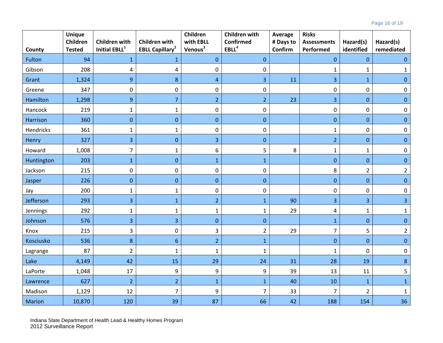|               | <b>Unique</b><br>Children | <b>Children with</b>      | <b>Children with</b>              | Children<br>with EBLL | <b>Children with</b><br>Confirmed | Average              | <b>Risks</b><br><b>Assessments</b> |                         |                         |
|---------------|---------------------------|---------------------------|-----------------------------------|-----------------------|-----------------------------------|----------------------|------------------------------------|-------------------------|-------------------------|
| County        | <b>Tested</b>             | Initial EBLL <sup>1</sup> | <b>EBLL Capillary<sup>2</sup></b> | Venous <sup>3</sup>   | EBLL <sup>4</sup>                 | # Days to<br>Confirm | Performed                          | Hazard(s)<br>identified | Hazard(s)<br>remediated |
| Fulton        | 94                        | $\mathbf{1}$              | $\mathbf{1}$                      | $\mathbf 0$           | $\mathbf 0$                       |                      | $\pmb{0}$                          | $\mathbf{0}$            | $\mathbf 0$             |
| Gibson        | 208                       | 4                         | $\sqrt{4}$                        | $\pmb{0}$             | $\pmb{0}$                         |                      | $\mathbf 1$                        | $\mathbf 1$             | 1                       |
| Grant         | 1,324                     | 9                         | 8                                 | $\overline{4}$        | 3                                 | 11                   | 3                                  | $\mathbf 1$             | $\mathbf{0}$            |
| Greene        | 347                       | 0                         | $\mathbf 0$                       | $\pmb{0}$             | 0                                 |                      | $\boldsymbol{0}$                   | $\mathbf 0$             | $\mathbf 0$             |
| Hamilton      | 1,298                     | 9                         | $\overline{7}$                    | $\overline{2}$        | $\overline{2}$                    | 23                   | $\overline{3}$                     | $\mathbf{0}$            | $\mathbf{0}$            |
| Hancock       | 219                       | $\mathbf{1}$              | $\mathbf 1$                       | $\pmb{0}$             | $\pmb{0}$                         |                      | $\pmb{0}$                          | $\mathbf 0$             | $\mathbf 0$             |
| Harrison      | 360                       | $\mathbf{0}$              | $\overline{0}$                    | $\mathbf 0$           | $\mathbf{0}$                      |                      | $\mathbf 0$                        | $\overline{0}$          | $\mathbf{0}$            |
| Hendricks     | 361                       | 1                         | $\mathbf{1}$                      | $\mathbf 0$           | 0                                 |                      | $\mathbf 1$                        | $\boldsymbol{0}$        | 0                       |
| Henry         | 327                       | 3                         | $\bf 0$                           | 3                     | $\mathbf{0}$                      |                      | $\overline{2}$                     | $\mathbf{0}$            | $\mathbf{0}$            |
| Howard        | 1,008                     | $\overline{7}$            | $\mathbf{1}$                      | 6                     | 5                                 | 8                    | $\mathbf{1}$                       | $1\,$                   | 0                       |
| Huntington    | 203                       | $\mathbf{1}$              | $\overline{0}$                    | $\mathbf{1}$          | $\mathbf{1}$                      |                      | $\mathbf 0$                        | $\mathbf{0}$            | $\mathbf{0}$            |
| Jackson       | 215                       | 0                         | $\mathbf 0$                       | $\pmb{0}$             | 0                                 |                      | 8                                  | $\overline{2}$          | $\overline{2}$          |
| Jasper        | 226                       | $\overline{0}$            | $\overline{0}$                    | $\mathbf{0}$          | $\overline{0}$                    |                      | $\mathbf 0$                        | $\overline{0}$          | $\mathbf{0}$            |
| Jay           | 200                       | $\mathbf{1}$              | $\mathbf{1}$                      | $\pmb{0}$             | $\pmb{0}$                         |                      | $\pmb{0}$                          | $\mathbf 0$             | $\mathbf 0$             |
| Jefferson     | 293                       | $\overline{3}$            | $\mathbf{1}$                      | $\overline{2}$        | $\mathbf{1}$                      | 90                   | $\overline{3}$                     | $\overline{\mathbf{3}}$ | 3                       |
| Jennings      | 292                       | $\mathbf{1}$              | $\mathbf{1}$                      | $\mathbf{1}$          | 1                                 | 29                   | 4                                  | $\mathbf{1}$            | 1                       |
| Johnson       | 576                       | 3                         | 3                                 | $\mathbf 0$           | $\mathbf{0}$                      |                      | $1\,$                              | $\mathbf{0}$            | $\bf 0$                 |
| Knox          | 215                       | 3                         | $\pmb{0}$                         | 3                     | $\overline{2}$                    | 29                   | $\overline{7}$                     | 5                       | $\overline{2}$          |
| Kosciusko     | 536                       | 8                         | $6\,$                             | $\overline{2}$        | $\mathbf{1}$                      |                      | $\pmb{0}$                          | $\mathbf{0}$            | $\mathbf{0}$            |
| Lagrange      | 87                        | $\overline{2}$            | $\mathbf{1}$                      | $\mathbf{1}$          | 1                                 |                      | $\mathbf{1}$                       | $\mathbf 0$             | $\pmb{0}$               |
| Lake          | 4,149                     | 42                        | 15                                | 29                    | 24                                | 31                   | 28                                 | 19                      | $\bf 8$                 |
| LaPorte       | 1,048                     | 17                        | 9                                 | $\boldsymbol{9}$      | 9                                 | 39                   | 13                                 | 11                      | 5                       |
| Lawrence      | 627                       | $\overline{2}$            | $\overline{2}$                    | $\mathbf{1}$          | $\mathbf{1}$                      | 40                   | 10                                 | $\mathbf 1$             | $\mathbf{1}$            |
| Madison       | 1,129                     | 12                        | $\overline{7}$                    | 9                     | $\overline{7}$                    | 33                   | $\overline{7}$                     | $\overline{2}$          | 1                       |
| <b>Marion</b> | 10,870                    | 120                       | 39                                | 87                    | 66                                | 42                   | 188                                | 154                     | 36                      |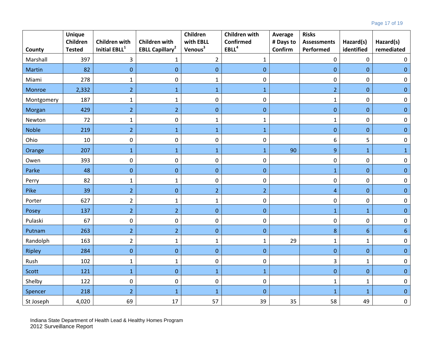|              | <b>Unique</b><br>Children | <b>Children with</b>             | <b>Children with</b>              | Children<br>with EBLL | <b>Children with</b><br><b>Confirmed</b> | Average<br># Days to | <b>Risks</b><br><b>Assessments</b> | Hazard(s)        | Hazard(s)        |
|--------------|---------------------------|----------------------------------|-----------------------------------|-----------------------|------------------------------------------|----------------------|------------------------------------|------------------|------------------|
| County       | <b>Tested</b>             | <b>Initial EBLL</b> <sup>1</sup> | <b>EBLL Capillary<sup>2</sup></b> | Venous <sup>3</sup>   | EBLL <sup>4</sup>                        | Confirm              | Performed                          | identified       | remediated       |
| Marshall     | 397                       | 3                                | 1                                 | $\overline{2}$        | $\mathbf{1}$                             |                      | 0                                  | $\pmb{0}$        | 0                |
| Martin       | 82                        | $\mathbf{0}$                     | $\mathbf{0}$                      | $\boldsymbol{0}$      | $\mathbf{0}$                             |                      | $\mathbf 0$                        | $\boldsymbol{0}$ | $\Omega$         |
| Miami        | 278                       | $\mathbf{1}$                     | $\mathbf 0$                       | $\mathbf{1}$          | 0                                        |                      | 0                                  | $\pmb{0}$        | 0                |
| Monroe       | 2,332                     | $\overline{2}$                   | $1\,$                             | $\mathbf 1$           | $\mathbf{1}$                             |                      | $\overline{2}$                     | $\pmb{0}$        | $\pmb{0}$        |
| Montgomery   | 187                       | $\mathbf{1}$                     | $\mathbf{1}$                      | $\pmb{0}$             | $\boldsymbol{0}$                         |                      | $\mathbf{1}$                       | $\pmb{0}$        | 0                |
| Morgan       | 429                       | $\overline{2}$                   | $\overline{2}$                    | $\pmb{0}$             | $\pmb{0}$                                |                      | $\pmb{0}$                          | $\pmb{0}$        | $\mathbf 0$      |
| Newton       | 72                        | $\mathbf{1}$                     | $\boldsymbol{0}$                  | $\mathbf 1$           | $\mathbf{1}$                             |                      | $\mathbf 1$                        | $\pmb{0}$        | 0                |
| <b>Noble</b> | 219                       | $\overline{2}$                   | $\mathbf{1}$                      | $\mathbf{1}$          | $\mathbf{1}$                             |                      | $\pmb{0}$                          | $\pmb{0}$        | $\mathbf 0$      |
| Ohio         | 10                        | $\boldsymbol{0}$                 | $\boldsymbol{0}$                  | $\pmb{0}$             | $\boldsymbol{0}$                         |                      | 6                                  | 5                | 0                |
| Orange       | 207                       | $\mathbf{1}$                     | $\mathbf{1}$                      | $\mathbf{1}$          | $\mathbf{1}$                             | 90                   | 9                                  | $\mathbf{1}$     | 1                |
| Owen         | 393                       | $\boldsymbol{0}$                 | $\boldsymbol{0}$                  | $\pmb{0}$             | $\boldsymbol{0}$                         |                      | $\pmb{0}$                          | $\pmb{0}$        | 0                |
| Parke        | 48                        | $\boldsymbol{0}$                 | $\mathbf 0$                       | $\boldsymbol{0}$      | $\boldsymbol{0}$                         |                      | $\mathbf{1}$                       | $\boldsymbol{0}$ | $\mathbf{0}$     |
| Perry        | 82                        | $\mathbf{1}$                     | $\mathbf{1}$                      | $\pmb{0}$             | $\boldsymbol{0}$                         |                      | 0                                  | $\pmb{0}$        | 0                |
| Pike         | 39                        | $\overline{2}$                   | $\mathbf 0$                       | $\overline{2}$        | $\overline{2}$                           |                      | $\overline{a}$                     | $\boldsymbol{0}$ | $\boldsymbol{0}$ |
| Porter       | 627                       | $\overline{2}$                   | $\mathbf{1}$                      | $\mathbf{1}$          | $\pmb{0}$                                |                      | $\pmb{0}$                          | $\pmb{0}$        | 0                |
| Posey        | 137                       | $\overline{2}$                   | $\overline{2}$                    | $\boldsymbol{0}$      | $\mathbf 0$                              |                      | $\mathbf{1}$                       | $\mathbf{1}$     | $\overline{0}$   |
| Pulaski      | 67                        | 0                                | $\mathbf 0$                       | $\mathbf 0$           | $\pmb{0}$                                |                      | $\pmb{0}$                          | $\pmb{0}$        | 0                |
| Putnam       | 263                       | $\overline{2}$                   | $\overline{2}$                    | $\boldsymbol{0}$      | $\boldsymbol{0}$                         |                      | 8                                  | $6\phantom{1}$   | 6                |
| Randolph     | 163                       | $\overline{2}$                   | $\mathbf{1}$                      | $\mathbf{1}$          | 1                                        | 29                   | $\mathbf{1}$                       | $\mathbf{1}$     | 0                |
| Ripley       | 284                       | $\pmb{0}$                        | $\pmb{0}$                         | $\pmb{0}$             | $\pmb{0}$                                |                      | $\pmb{0}$                          | $\pmb{0}$        | $\mathbf{0}$     |
| Rush         | 102                       | $\mathbf{1}$                     | $\mathbf{1}$                      | $\pmb{0}$             | $\boldsymbol{0}$                         |                      | 3                                  | $\mathbf{1}$     | $\Omega$         |
| Scott        | 121                       | $\mathbf{1}$                     | $\mathbf 0$                       | $\mathbf{1}$          | $\mathbf{1}$                             |                      | $\pmb{0}$                          | $\pmb{0}$        | $\mathbf{0}$     |
| Shelby       | 122                       | $\boldsymbol{0}$                 | $\boldsymbol{0}$                  | $\pmb{0}$             | $\pmb{0}$                                |                      | $\mathbf 1$                        | $\mathbf 1$      | $\boldsymbol{0}$ |
| Spencer      | 218                       | $\overline{2}$                   | $\mathbf{1}$                      | $\mathbf{1}$          | $\boldsymbol{0}$                         |                      | $\mathbf{1}$                       | $\mathbf 1$      | $\mathbf{0}$     |
| St Joseph    | 4,020                     | 69                               | 17                                | 57                    | 39                                       | 35                   | 58                                 | 49               | $\boldsymbol{0}$ |

Indiana State Department of Health Lead & Healthy Homes Program 2012 Surveillance Report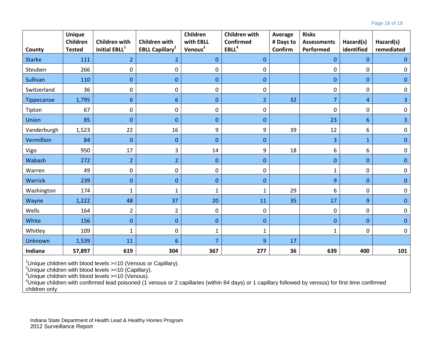|               | <b>Unique</b><br>Children | <b>Children with</b>      | <b>Children with</b>              | Children<br>with EBLL | <b>Children with</b><br>Confirmed | Average<br># Days to | <b>Risks</b><br><b>Assessments</b> | Hazard(s)        | Hazard(s)        |
|---------------|---------------------------|---------------------------|-----------------------------------|-----------------------|-----------------------------------|----------------------|------------------------------------|------------------|------------------|
| County        | <b>Tested</b>             | Initial EBLL <sup>1</sup> | <b>EBLL Capillary<sup>2</sup></b> | Venous <sup>3</sup>   | EBLL <sup>4</sup>                 | Confirm              | Performed                          | identified       | remediated       |
| <b>Starke</b> | 111                       | $\overline{2}$            | 2                                 | $\mathbf{0}$          | $\mathbf{0}$                      |                      | $\boldsymbol{0}$                   | $\boldsymbol{0}$ | $\mathbf 0$      |
| Steuben       | 266                       | 0                         | 0                                 | 0                     | 0                                 |                      | 0                                  | $\pmb{0}$        | $\Omega$         |
| Sullivan      | 110                       | $\overline{0}$            | $\mathbf{0}$                      | $\mathbf{0}$          | $\mathbf{0}$                      |                      | $\boldsymbol{0}$                   | $\mathbf{0}$     | $\mathbf{0}$     |
| Switzerland   | 36                        | $\pmb{0}$                 | $\boldsymbol{0}$                  | $\boldsymbol{0}$      | 0                                 |                      | 0                                  | $\pmb{0}$        | $\mathbf 0$      |
| Tippecanoe    | 1,795                     | 6                         | 6                                 | $\mathbf{0}$          | $\overline{2}$                    | 32                   | $\overline{7}$                     | $\overline{4}$   | 3                |
| Tipton        | 67                        | $\pmb{0}$                 | $\pmb{0}$                         | $\boldsymbol{0}$      | 0                                 |                      | 0                                  | $\pmb{0}$        | 0                |
| Union         | 85                        | $\boldsymbol{0}$          | $\boldsymbol{0}$                  | $\mathbf 0$           | $\boldsymbol{0}$                  |                      | 23                                 | $6\phantom{1}6$  | 3                |
| Vanderburgh   | 1,523                     | 22                        | 16                                | 9                     | 9                                 | 39                   | 12                                 | 6                | 0                |
| Vermillion    | 84                        | $\overline{0}$            | $\mathbf{0}$                      | $\mathbf{0}$          | $\mathbf{0}$                      |                      | 3                                  | $\mathbf{1}$     | $\mathbf{0}$     |
| Vigo          | 950                       | 17                        | 3                                 | 14                    | 9                                 | 18                   | 6                                  | 6                | $\mathbf 0$      |
| Wabash        | 272                       | $\overline{2}$            | $\overline{2}$                    | $\mathbf{0}$          | $\mathbf{0}$                      |                      | $\boldsymbol{0}$                   | $\mathbf{0}$     | $\mathbf{0}$     |
| Warren        | 49                        | $\mathbf 0$               | $\pmb{0}$                         | $\mathbf 0$           | 0                                 |                      | $\mathbf{1}$                       | $\mathbf 0$      | $\boldsymbol{0}$ |
| Warrick       | 239                       | $\boldsymbol{0}$          | $\mathbf 0$                       | $\mathbf 0$           | $\boldsymbol{0}$                  |                      | 9                                  | $\boldsymbol{0}$ | $\mathbf{0}$     |
| Washington    | 174                       | 1                         | 1                                 | 1                     | $\mathbf{1}$                      | 29                   | 6                                  | $\boldsymbol{0}$ | 0                |
| Wayne         | 1,222                     | 48                        | 37                                | 20                    | 11                                | 35                   | 17                                 | 9                | $\mathbf{0}$     |
| Wells         | 164                       | $\overline{2}$            | $\overline{2}$                    | $\boldsymbol{0}$      | 0                                 |                      | $\pmb{0}$                          | $\pmb{0}$        | $\pmb{0}$        |
| White         | 156                       | $\Omega$                  | $\Omega$                          | $\mathbf{0}$          | $\mathbf{0}$                      |                      | $\mathbf{0}$                       | $\mathbf{0}$     | $\Omega$         |
| Whitley       | 109                       | $\mathbf{1}$              | $\mathbf 0$                       | $\mathbf{1}$          | $\mathbf{1}$                      |                      | $\mathbf{1}$                       | $\mathbf 0$      | $\mathbf 0$      |
| Unknown       | 1,539                     | 11                        | 6                                 | 7                     | 9                                 | 17                   |                                    |                  |                  |
| Indiana       | 57,897                    | 619                       | 304                               | 367                   | 277                               | 36                   | 639                                | 400              | 101              |

<sup>1</sup>Unique children with blood levels >=10 (Venous or Capillary).<br><sup>2</sup>Unique children with blood lovels >=10 (Capillary).

Unique children with blood levels >=10 (Capillary). <sup>3</sup>

°Unique children with blood levels >=10 (Venous).<br><sup>4</sup>Unique children with confirmed lead poisoned (1 venous or 2 capillaries (within 84 days) or 1 capillary followed by venous) for first time confirmed children only.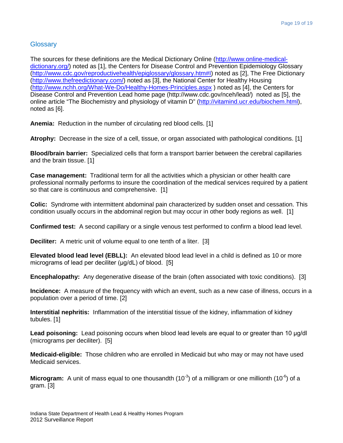#### Glossary

The sources for these definitions are the Medical Dictionary Online [\(http://www.online-medical](http://www.online-medical-dictionary.org/)[dictionary.org/\)](http://www.online-medical-dictionary.org/) noted as [1], the Centers for Disease Control and Prevention Epidemiology Glossary [\(http://www.cdc.gov/reproductivehealth/epiglossary/glossary.htm#I\)](http://www.cdc.gov/reproductivehealth/epiglossary/glossary.htm#I) noted as [2], The Free Dictionary [\(http://www.thefreedictionary.com/\)](http://www.thefreedictionary.com/) noted as [3], the National Center for Healthy Housing [\(http://www.nchh.org/What-We-Do/Healthy-Homes-Principles.aspx](http://www.nchh.org/What-We-Do/Healthy-Homes-Principles.aspx) ) noted as [4], the Centers for Disease Control and Prevention Lead home page (http://www.cdc.gov/nceh/lead/) noted as [5], the online article "The Biochemistry and physiology of vitamin D" [\(http://vitamind.ucr.edu/biochem.html\)](http://vitamind.ucr.edu/biochem.html), noted as [6].

**Anemia:** Reduction in the number of circulating red blood cells. [1]

**Atrophy:** Decrease in the size of a cell, tissue, or organ associated with pathological conditions. [1]

**Blood/brain barrier:** Specialized cells that form a transport barrier between the cerebral capillaries and the brain tissue. [1]

**Case management:** Traditional term for all the activities which a physician or other health care professional normally performs to insure the coordination of the medical services required by a patient so that care is continuous and comprehensive. [1]

**Colic:** Syndrome with intermittent abdominal pain characterized by sudden onset and cessation. This condition usually occurs in the abdominal region but may occur in other body regions as well. [1]

**Confirmed test:** A second capillary or a single venous test performed to confirm a blood lead level.

**Deciliter:** A metric unit of volume equal to one tenth of a liter. [3]

**Elevated blood lead level (EBLL):** An elevated blood lead level in a child is defined as 10 or more micrograms of lead per deciliter (μg/dL) of blood. [5]

**Encephalopathy:** Any degenerative disease of the brain (often associated with toxic conditions). [3]

**Incidence:** A measure of the frequency with which an event, such as a new case of illness, occurs in a population over a period of time. [2]

**Interstitial nephritis:** Inflammation of the interstitial tissue of the kidney, inflammation of kidney tubules. [1]

**Lead poisoning:** Lead poisoning occurs when blood lead levels are equal to or greater than 10 μg/dl (micrograms per deciliter). [5]

**Medicaid-eligible:** Those children who are enrolled in Medicaid but who may or may not have used Medicaid services.

**Microgram:** A unit of mass equal to one thousandth (10<sup>-3</sup>) of a milligram or one millionth (10<sup>-6</sup>) of a gram. [3]